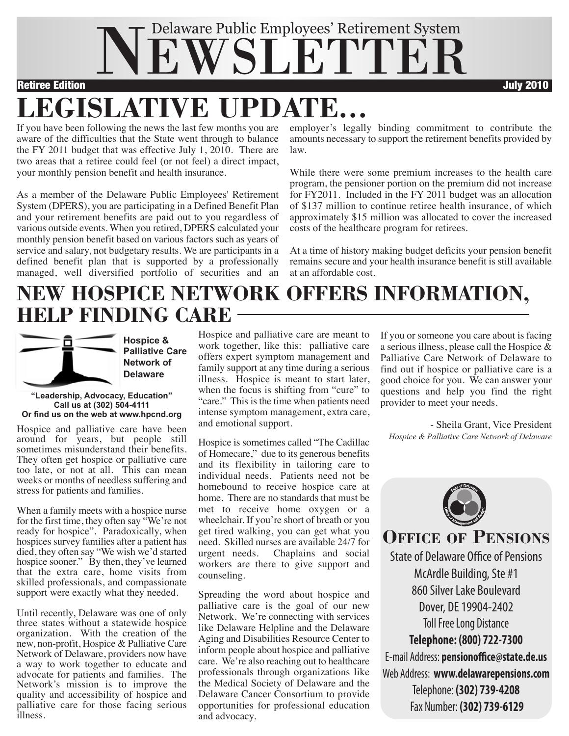

If you have been following the news the last few months you are aware of the difficulties that the State went through to balance the FY 2011 budget that was effective July 1, 2010. There are two areas that a retiree could feel (or not feel) a direct impact, your monthly pension benefit and health insurance. **LEGISLATIVE UPDATE...**

As a member of the Delaware Public Employees' Retirement System (DPERS), you are participating in a Defined Benefit Plan and your retirement benefits are paid out to you regardless of various outside events. When you retired, DPERS calculated your monthly pension benefit based on various factors such as years of service and salary, not budgetary results. We are participants in a defined benefit plan that is supported by a professionally managed, well diversified portfolio of securities and an employer's legally binding commitment to contribute the amounts necessary to support the retirement benefits provided by law.

While there were some premium increases to the health care program, the pensioner portion on the premium did not increase for FY2011. Included in the FY 2011 budget was an allocation of \$137 million to continue retiree health insurance, of which approximately \$15 million was allocated to cover the increased costs of the healthcare program for retirees.

At a time of history making budget deficits your pension benefit remains secure and your health insurance benefit is still available at an affordable cost.

## **NEW HOSPICE NETWORK OFFERS INFORMATION, HELP FINDING CARE**



**Hospice & Palliative Care Network of Delaware**

#### **"Leadership, Advocacy, Education" Call us at (302) 504-4111 Or find us on the web at www.hpcnd.org**

Hospice and palliative care have been around for years, but people still<br>sometimes misunderstand their benefits. They often get hospice or palliative care too late, or not at all. This can mean weeks or months of needless suffering and stress for patients and families.

When a family meets with a hospice nurse for the first time, they often say "We're not ready for hospice". Paradoxically, when hospices survey families after a patient has died, they often say "We wish we'd started hospice sooner." By then, they've learned that the extra care, home visits from skilled professionals, and compassionate support were exactly what they needed.

Until recently, Delaware was one of only three states without a statewide hospice organization. With the creation of the new, non-profit, Hospice & Palliative Care Network of Delaware, providers now have a way to work together to educate and advocate for patients and families. The Network's mission is to improve the quality and accessibility of hospice and palliative care for those facing serious illness.

Hospice and palliative care are meant to work together, like this: palliative care offers expert symptom management and family support at any time during a serious illness. Hospice is meant to start later, when the focus is shifting from "cure" to "care." This is the time when patients need intense symptom management, extra care, and emotional support.

Hospice is sometimes called "The Cadillac of Homecare," due to its generous benefits and its flexibility in tailoring care to individual needs. Patients need not be homebound to receive hospice care at home. There are no standards that must be met to receive home oxygen or a wheelchair. If you're short of breath or you get tired walking, you can get what you need. Skilled nurses are available 24/7 for<br>urgent needs. Chaplains and social Chaplains and social workers are there to give support and counseling.

Spreading the word about hospice and palliative care is the goal of our new Network. We're connecting with services like Delaware Helpline and the Delaware Aging and Disabilities Resource Center to inform people about hospice and palliative care. We're also reaching out to healthcare professionals through organizations like the Medical Society of Delaware and the Delaware Cancer Consortium to provide opportunities for professional education and advocacy.

If you or someone you care about is facing a serious illness, please call the Hospice & Palliative Care Network of Delaware to find out if hospice or palliative care is a good choice for you. We can answer your questions and help you find the right provider to meet your needs.

- Sheila Grant, Vice President *Hospice & Palliative Care Network of Delaware*



**OFFICE OF PENSIONS**

**Toll Free Long Distance Telephone: (800) 722-7300** E-mail Address: **pensionoffice@state.de.us** Web Address: **www.delawarepensions.com** Telephone: **(302) 739-4208** Fax Number: **(302) 739-6129** State of Delaware Office of Pensions McArdle Building, Ste #1 860SilverLake Boulevard Dover, DE 19904-2402